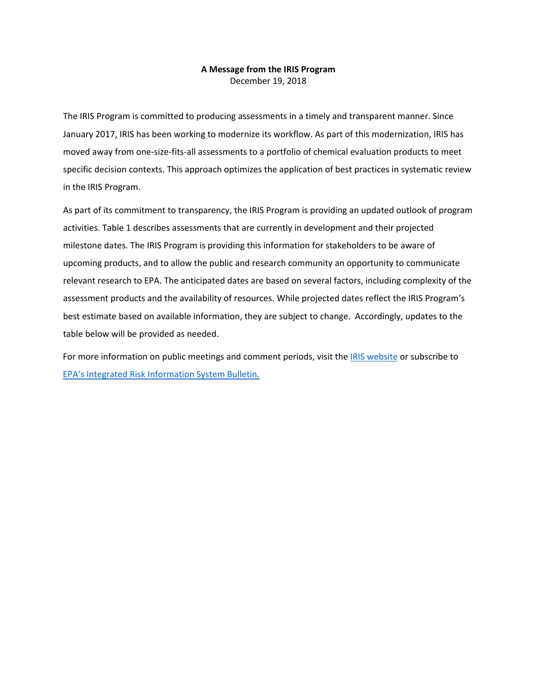## **A Message from the IRIS Program**  December 19, 2018

The IRIS Program is committed to producing assessments in a timely and transparent manner. Since January 2017, IRIS has been working to modernize its workflow. As part of this modernization, IRIS has moved away from one-size-fits-all assessments to a portfolio of chemical evaluation products to meet specific decision contexts. This approach optimizes the application of best practices in systematic review in the IRIS Program.

As part of its commitment to transparency, the IRIS Program is providing an updated outlook of program activities. Table 1 describes assessments that are currently in development and their projected milestone dates. The IRIS Program is providing this information for stakeholders to be aware of upcoming products, and to allow the public and research community an opportunity to communicate relevant research to EPA. The anticipated dates are based on several factors, including complexity of the assessment products and the availability of resources. While projected dates reflect the IRIS Program's best estimate based on available information, they are subject to change. Accordingly, updates to the table below will be provided as needed.

For more information on public meetings and comment periods, visit the [IRIS website](https://www.epa.gov/iris) or subscribe to EPA's [Integrated Risk Information System Bulletin.](https://www.epa.gov/iris/how-subscribe-integrated-risk-information-system-bulletin)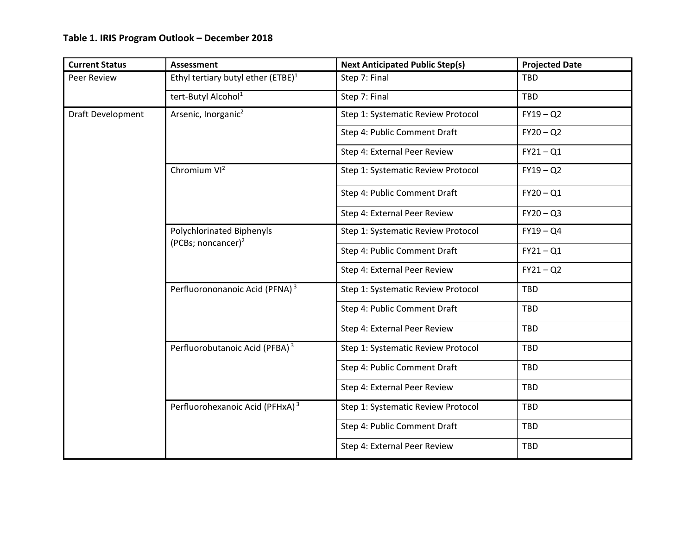## **Table 1. IRIS Program Outlook – December 2018**

| <b>Current Status</b>    | <b>Assessment</b>                                           | <b>Next Anticipated Public Step(s)</b> | <b>Projected Date</b> |
|--------------------------|-------------------------------------------------------------|----------------------------------------|-----------------------|
| Peer Review              | Ethyl tertiary butyl ether (ETBE) <sup>1</sup>              | Step 7: Final                          | <b>TBD</b>            |
|                          | tert-Butyl Alcohol <sup>1</sup>                             | Step 7: Final                          | <b>TBD</b>            |
| <b>Draft Development</b> | Arsenic, Inorganic <sup>2</sup>                             | Step 1: Systematic Review Protocol     | $FY19 - Q2$           |
|                          |                                                             | Step 4: Public Comment Draft           | $FY20 - Q2$           |
|                          |                                                             | Step 4: External Peer Review           | $FY21 - Q1$           |
|                          | Chromium VI <sup>2</sup>                                    | Step 1: Systematic Review Protocol     | $FY19 - Q2$           |
|                          |                                                             | Step 4: Public Comment Draft           | $FY20 - Q1$           |
|                          |                                                             | Step 4: External Peer Review           | $FY20 - Q3$           |
|                          | Polychlorinated Biphenyls<br>(PCBs; noncancer) <sup>2</sup> | Step 1: Systematic Review Protocol     | $FY19 - Q4$           |
|                          |                                                             | Step 4: Public Comment Draft           | $FY21 - Q1$           |
|                          |                                                             | Step 4: External Peer Review           | $FY21 - Q2$           |
|                          | Perfluorononanoic Acid (PFNA) <sup>3</sup>                  | Step 1: Systematic Review Protocol     | <b>TBD</b>            |
|                          |                                                             | Step 4: Public Comment Draft           | <b>TBD</b>            |
|                          |                                                             | Step 4: External Peer Review           | <b>TBD</b>            |
|                          | Perfluorobutanoic Acid (PFBA) <sup>3</sup>                  | Step 1: Systematic Review Protocol     | <b>TBD</b>            |
|                          |                                                             | Step 4: Public Comment Draft           | <b>TBD</b>            |
|                          |                                                             | Step 4: External Peer Review           | <b>TBD</b>            |
|                          | Perfluorohexanoic Acid (PFHxA) <sup>3</sup>                 | Step 1: Systematic Review Protocol     | <b>TBD</b>            |
|                          |                                                             | Step 4: Public Comment Draft           | TBD                   |
|                          |                                                             | Step 4: External Peer Review           | <b>TBD</b>            |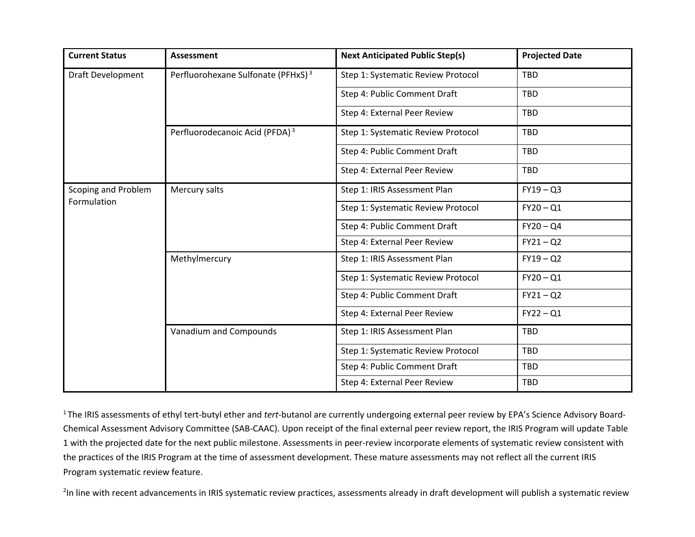| <b>Current Status</b>              | Assessment                                     | <b>Next Anticipated Public Step(s)</b> | <b>Projected Date</b> |
|------------------------------------|------------------------------------------------|----------------------------------------|-----------------------|
| <b>Draft Development</b>           | Perfluorohexane Sulfonate (PFHxS) <sup>3</sup> | Step 1: Systematic Review Protocol     | <b>TBD</b>            |
|                                    |                                                | Step 4: Public Comment Draft           | <b>TBD</b>            |
|                                    |                                                | Step 4: External Peer Review           | <b>TBD</b>            |
|                                    | Perfluorodecanoic Acid (PFDA) <sup>3</sup>     | Step 1: Systematic Review Protocol     | <b>TBD</b>            |
|                                    |                                                | Step 4: Public Comment Draft           | <b>TBD</b>            |
|                                    |                                                | Step 4: External Peer Review           | <b>TBD</b>            |
| Scoping and Problem<br>Formulation | Mercury salts                                  | Step 1: IRIS Assessment Plan           | $FY19 - Q3$           |
|                                    |                                                | Step 1: Systematic Review Protocol     | $FY20 - Q1$           |
|                                    |                                                | Step 4: Public Comment Draft           | $FY20 - QA$           |
|                                    |                                                | Step 4: External Peer Review           | $FY21 - Q2$           |
|                                    | Methylmercury                                  | Step 1: IRIS Assessment Plan           | $FY19 - Q2$           |
|                                    |                                                | Step 1: Systematic Review Protocol     | $FY20 - Q1$           |
|                                    |                                                | Step 4: Public Comment Draft           | $FY21 - Q2$           |
|                                    |                                                | Step 4: External Peer Review           | $FY22 - Q1$           |
|                                    | Vanadium and Compounds                         | Step 1: IRIS Assessment Plan           | <b>TBD</b>            |
|                                    |                                                | Step 1: Systematic Review Protocol     | <b>TBD</b>            |
|                                    |                                                | Step 4: Public Comment Draft           | <b>TBD</b>            |
|                                    |                                                | Step 4: External Peer Review           | <b>TBD</b>            |

1 The IRIS assessments of ethyl tert-butyl ether and *tert*-butanol are currently undergoing external peer review by EPA's Science Advisory Board-Chemical Assessment Advisory Committee (SAB-CAAC). Upon receipt of the final external peer review report, the IRIS Program will update Table 1 with the projected date for the next public milestone. Assessments in peer-review incorporate elements of systematic review consistent with the practices of the IRIS Program at the time of assessment development. These mature assessments may not reflect all the current IRIS Program systematic review feature.

<sup>2</sup>In line with recent advancements in IRIS systematic review practices, assessments already in draft development will publish a systematic review